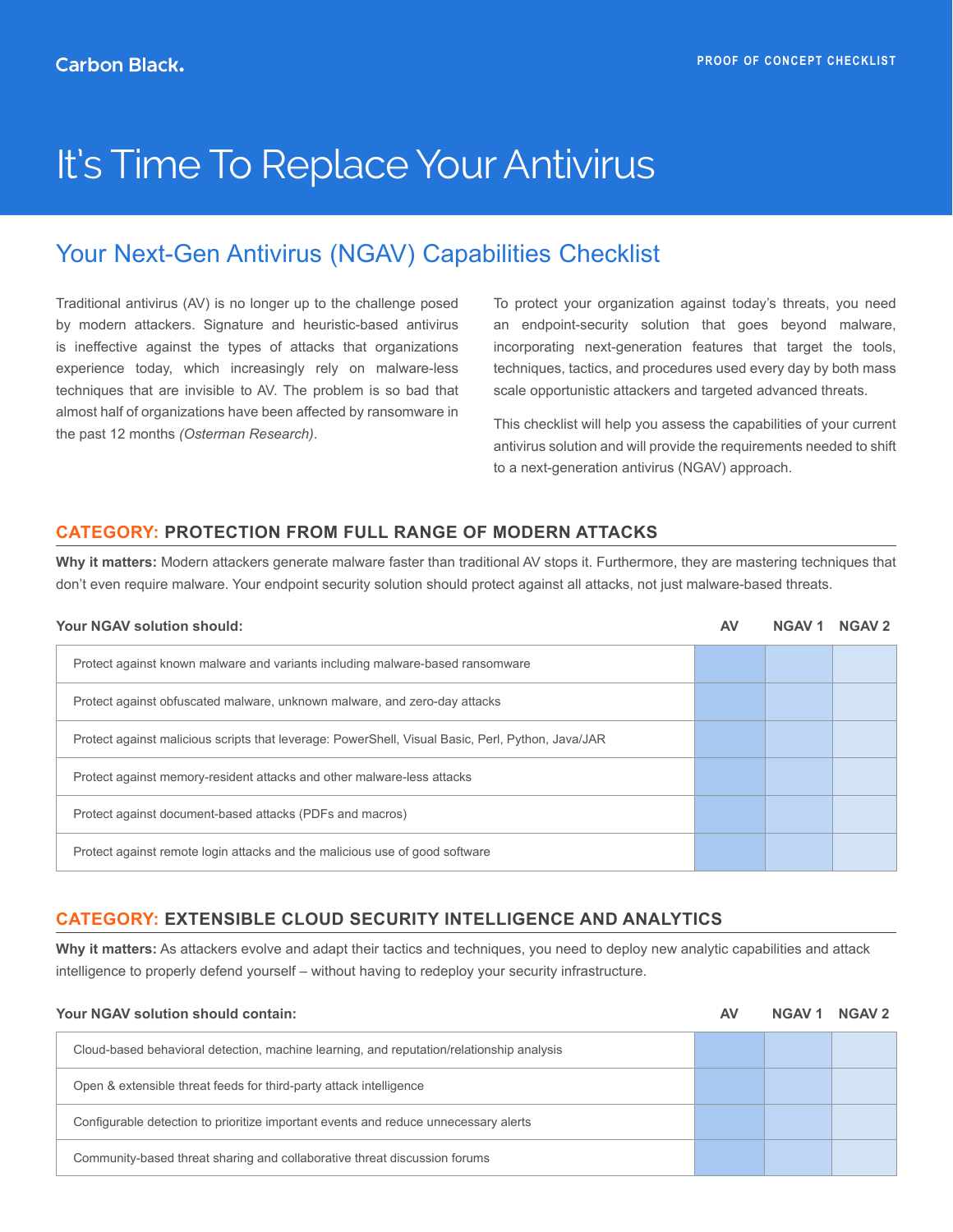# It's Time To Replace Your Antivirus

## Your Next-Gen Antivirus (NGAV) Capabilities Checklist

Traditional antivirus (AV) is no longer up to the challenge posed by modern attackers. Signature and heuristic-based antivirus is ineffective against the types of attacks that organizations experience today, which increasingly rely on malware-less techniques that are invisible to AV. The problem is so bad that almost half of organizations have been affected by ransomware in the past 12 months *(Osterman Research)*.

To protect your organization against today's threats, you need an endpoint-security solution that goes beyond malware, incorporating next-generation features that target the tools, techniques, tactics, and procedures used every day by both mass scale opportunistic attackers and targeted advanced threats.

This checklist will help you assess the capabilities of your current antivirus solution and will provide the requirements needed to shift to a next-generation antivirus (NGAV) approach.

#### **CATEGORY: PROTECTION FROM FULL RANGE OF MODERN ATTACKS**

**Why it matters:** Modern attackers generate malware faster than traditional AV stops it. Furthermore, they are mastering techniques that don't even require malware. Your endpoint security solution should protect against all attacks, not just malware-based threats.

| <b>Your NGAV solution should:</b>                                                                 | AV | <b>NGAV1</b> | <b>NGAV 2</b> |
|---------------------------------------------------------------------------------------------------|----|--------------|---------------|
| Protect against known malware and variants including malware-based ransomware                     |    |              |               |
| Protect against obfuscated malware, unknown malware, and zero-day attacks                         |    |              |               |
| Protect against malicious scripts that leverage: PowerShell, Visual Basic, Perl, Python, Java/JAR |    |              |               |
| Protect against memory-resident attacks and other malware-less attacks                            |    |              |               |
| Protect against document-based attacks (PDFs and macros)                                          |    |              |               |
| Protect against remote login attacks and the malicious use of good software                       |    |              |               |

#### **CATEGORY: EXTENSIBLE CLOUD SECURITY INTELLIGENCE AND ANALYTICS**

**Why it matters:** As attackers evolve and adapt their tactics and techniques, you need to deploy new analytic capabilities and attack intelligence to properly defend yourself – without having to redeploy your security infrastructure.

| Your NGAV solution should contain:                                                       | A۱ | <b>NGAV 1</b> | NGAV <sub>2</sub> |
|------------------------------------------------------------------------------------------|----|---------------|-------------------|
| Cloud-based behavioral detection, machine learning, and reputation/relationship analysis |    |               |                   |
| Open & extensible threat feeds for third-party attack intelligence                       |    |               |                   |
| Configurable detection to prioritize important events and reduce unnecessary alerts      |    |               |                   |
| Community-based threat sharing and collaborative threat discussion forums                |    |               |                   |